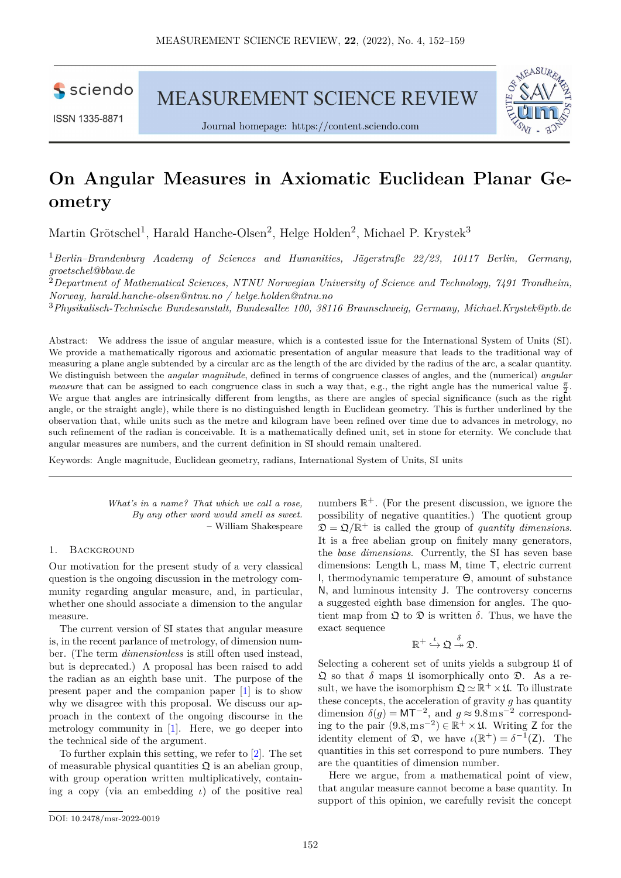sciendo

ISSN 1335-8871

MEASUREMENT SCIENCE REVIEW





# **On Angular Measures in Axiomatic Euclidean Planar Geometry**

Martin Grötschel<sup>1</sup>, Harald Hanche-Olsen<sup>2</sup>, Helge Holden<sup>2</sup>, Michael P. Krystek<sup>3</sup>

<sup>1</sup>*Berlin–Brandenburg Academy of Sciences and Humanities, Jägerstraße 22/23, 10117 Berlin, Germany, [groetschel@bbaw.de](mailto:groetschel@bbaw.de)*

<sup>2</sup>*Department of Mathematical Sciences, NTNU Norwegian University of Science and Technology, 7491 Trondheim, Norway, [harald.hanche-olsen@ntnu.no](mailto:harald.hanche-olsen@ntnu.no) / [helge.holden@ntnu.no](mailto:helge.holden@ntnu.no)*

<sup>3</sup>*Physikalisch-Technische Bundesanstalt, Bundesallee 100, 38116 Braunschweig, Germany, [Michael.Krystek@ptb.de](mailto:Michael.Krystek@ptb.de)*

Abstract: We address the issue of angular measure, which is a contested issue for the International System of Units (SI). We provide a mathematically rigorous and axiomatic presentation of angular measure that leads to the traditional way of measuring a plane angle subtended by a circular arc as the length of the arc divided by the radius of the arc, a scalar quantity. We distinguish between the *angular magnitude*, defined in terms of congruence classes of angles, and the (numerical) *angular measure* that can be assigned to each congruence class in such a way that, e.g., the right angle has the numerical value  $\frac{\pi}{2}$ . We argue that angles are intrinsically different from lengths, as there are angles of special significance (such as the right angle, or the straight angle), while there is no distinguished length in Euclidean geometry. This is further underlined by the observation that, while units such as the metre and kilogram have been refined over time due to advances in metrology, no such refinement of the radian is conceivable. It is a mathematically defined unit, set in stone for eternity. We conclude that angular measures are numbers, and the current definition in SI should remain unaltered.

Keywords: Angle magnitude, Euclidean geometry, radians, International System of Units, SI units

*What's in a name? That which we call a rose, By any other word would smell as sweet.* – William Shakespeare

## 1. Background

Our motivation for the present study of a very classical question is the ongoing discussion in the metrology community regarding angular measure, and, in particular, whether one should associate a dimension to the angular measure.

The current version of SI states that angular measure is, in the recent parlance of metrology, of dimension number. (The term *dimensionless* is still often used instead, but is deprecated.) A proposal has been raised to add the radian as an eighth base unit. The purpose of the present paper and the companion paper [\[1\]](#page-6-0) is to show why we disagree with this proposal. We discuss our approach in the context of the ongoing discourse in the metrology community in [\[1\]](#page-6-0). Here, we go deeper into the technical side of the argument.

To further explain this setting, we refer to [\[2\]](#page-6-1). The set of measurable physical quantities  $\mathfrak{Q}$  is an abelian group, with group operation written multiplicatively, containing a copy (via an embedding *ι*) of the positive real

numbers  $\mathbb{R}^+$ . (For the present discussion, we ignore the possibility of negative quantities.) The quotient group  $\mathfrak{D} = \mathfrak{Q}/\mathbb{R}^+$  is called the group of *quantity dimensions*. It is a free abelian group on finitely many generators, the *base dimensions*. Currently, the SI has seven base dimensions: Length L, mass M, time T, electric current I, thermodynamic temperature Θ, amount of substance N, and luminous intensity J. The controversy concerns a suggested eighth base dimension for angles. The quotient map from  $\Omega$  to  $\Omega$  is written  $\delta$ . Thus, we have the exact sequence

$$
\mathbb{R}^+ \stackrel{\iota}{\hookrightarrow} \mathfrak{Q} \stackrel{\delta}{\twoheadrightarrow} \mathfrak{D}.
$$

Selecting a coherent set of units yields a subgroup  $\mathfrak U$  of  $\mathfrak Q$  so that  $\delta$  maps  $\mathfrak U$  isomorphically onto  $\mathfrak D$ . As a result, we have the isomorphism  $\mathfrak{Q} \simeq \mathbb{R}^+ \times \mathfrak{U}$ . To illustrate these concepts, the acceleration of gravity *g* has quantity dimension  $\delta(g) = \text{MT}^{-2}$ , and  $g \approx 9.8 \text{m s}^{-2}$  corresponding to the pair  $(9.8 \text{ m s}^{-2})$  ∈  $\mathbb{R}^+ \times \mathfrak{U}$ . Writing **Z** for the identity element of  $\mathfrak{D}$ , we have  $\iota(\mathbb{R}^+) = \delta^{-1}(\mathsf{Z})$ . The quantities in this set correspond to pure numbers. They are the quantities of dimension number.

Here we argue, from a mathematical point of view, that angular measure cannot become a base quantity. In support of this opinion, we carefully revisit the concept

[DOI: 10.2478/msr-2022-0019](http://dx.doi.org/10.2478/msr-2022-0019)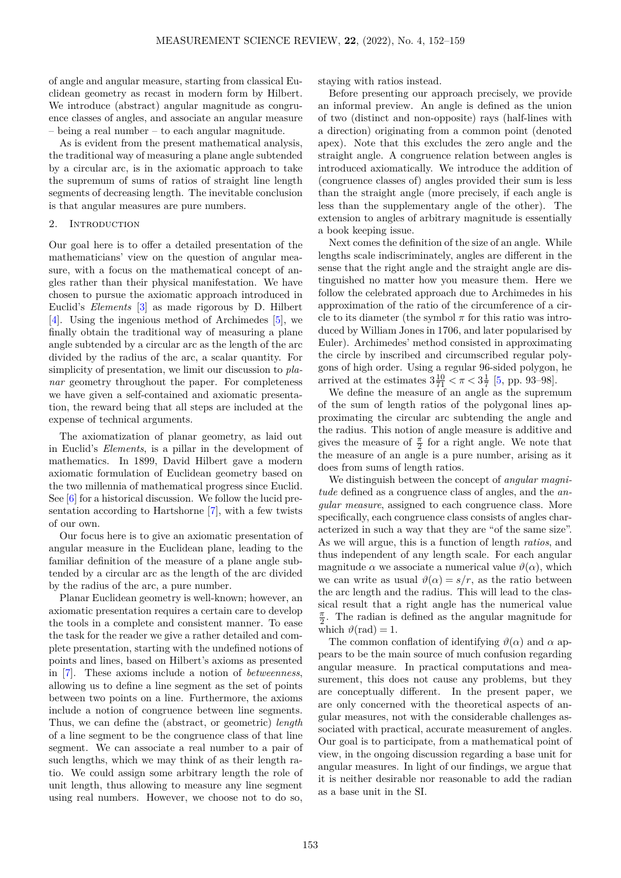of angle and angular measure, starting from classical Euclidean geometry as recast in modern form by Hilbert. We introduce (abstract) angular magnitude as congruence classes of angles, and associate an angular measure – being a real number – to each angular magnitude.

As is evident from the present mathematical analysis, the traditional way of measuring a plane angle subtended by a circular arc, is in the axiomatic approach to take the supremum of sums of ratios of straight line length segments of decreasing length. The inevitable conclusion is that angular measures are pure numbers.

## 2. INTRODUCTION

Our goal here is to offer a detailed presentation of the mathematicians' view on the question of angular measure, with a focus on the mathematical concept of angles rather than their physical manifestation. We have chosen to pursue the axiomatic approach introduced in Euclid's *Elements* [\[3\]](#page-6-2) as made rigorous by D. Hilbert [\[4\]](#page-7-0). Using the ingenious method of Archimedes [\[5\]](#page-7-1), we finally obtain the traditional way of measuring a plane angle subtended by a circular arc as the length of the arc divided by the radius of the arc, a scalar quantity. For simplicity of presentation, we limit our discussion to *planar* geometry throughout the paper. For completeness we have given a self-contained and axiomatic presentation, the reward being that all steps are included at the expense of technical arguments.

The axiomatization of planar geometry, as laid out in Euclid's *Elements*, is a pillar in the development of mathematics. In 1899, David Hilbert gave a modern axiomatic formulation of Euclidean geometry based on the two millennia of mathematical progress since Euclid. See [\[6\]](#page-7-2) for a historical discussion. We follow the lucid presentation according to Hartshorne [\[7\]](#page-7-3), with a few twists of our own.

Our focus here is to give an axiomatic presentation of angular measure in the Euclidean plane, leading to the familiar definition of the measure of a plane angle subtended by a circular arc as the length of the arc divided by the radius of the arc, a pure number.

Planar Euclidean geometry is well-known; however, an axiomatic presentation requires a certain care to develop the tools in a complete and consistent manner. To ease the task for the reader we give a rather detailed and complete presentation, starting with the undefined notions of points and lines, based on Hilbert's axioms as presented in [\[7\]](#page-7-3). These axioms include a notion of *betweenness*, allowing us to define a line segment as the set of points between two points on a line. Furthermore, the axioms include a notion of congruence between line segments. Thus, we can define the (abstract, or geometric) *length* of a line segment to be the congruence class of that line segment. We can associate a real number to a pair of such lengths, which we may think of as their length ratio. We could assign some arbitrary length the role of unit length, thus allowing to measure any line segment using real numbers. However, we choose not to do so,

staying with ratios instead.

Before presenting our approach precisely, we provide an informal preview. An angle is defined as the union of two (distinct and non-opposite) rays (half-lines with a direction) originating from a common point (denoted apex). Note that this excludes the zero angle and the straight angle. A congruence relation between angles is introduced axiomatically. We introduce the addition of (congruence classes of) angles provided their sum is less than the straight angle (more precisely, if each angle is less than the supplementary angle of the other). The extension to angles of arbitrary magnitude is essentially a book keeping issue.

Next comes the definition of the size of an angle. While lengths scale indiscriminately, angles are different in the sense that the right angle and the straight angle are distinguished no matter how you measure them. Here we follow the celebrated approach due to Archimedes in his approximation of the ratio of the circumference of a circle to its diameter (the symbol  $\pi$  for this ratio was introduced by William Jones in 1706, and later popularised by Euler). Archimedes' method consisted in approximating the circle by inscribed and circumscribed regular polygons of high order. Using a regular 96-sided polygon, he arrived at the estimates  $3\frac{10}{71} < \pi < 3\frac{1}{7}$  [\[5,](#page-7-1) pp. 93-98].

We define the measure of an angle as the supremum of the sum of length ratios of the polygonal lines approximating the circular arc subtending the angle and the radius. This notion of angle measure is additive and gives the measure of  $\frac{\pi}{2}$  for a right angle. We note that the measure of an angle is a pure number, arising as it does from sums of length ratios.

We distinguish between the concept of *angular magnitude* defined as a congruence class of angles, and the *angular measure*, assigned to each congruence class. More specifically, each congruence class consists of angles characterized in such a way that they are "of the same size". As we will argue, this is a function of length *ratios*, and thus independent of any length scale. For each angular magnitude  $\alpha$  we associate a numerical value  $\vartheta(\alpha)$ , which we can write as usual  $\vartheta(\alpha) = s/r$ , as the ratio between the arc length and the radius. This will lead to the classical result that a right angle has the numerical value  $\frac{\pi}{2}$ . The radian is defined as the angular magnitude for which  $\vartheta$ (rad) = 1.

The common conflation of identifying  $\vartheta(\alpha)$  and  $\alpha$  appears to be the main source of much confusion regarding angular measure. In practical computations and measurement, this does not cause any problems, but they are conceptually different. In the present paper, we are only concerned with the theoretical aspects of angular measures, not with the considerable challenges associated with practical, accurate measurement of angles. Our goal is to participate, from a mathematical point of view, in the ongoing discussion regarding a base unit for angular measures. In light of our findings, we argue that it is neither desirable nor reasonable to add the radian as a base unit in the SI.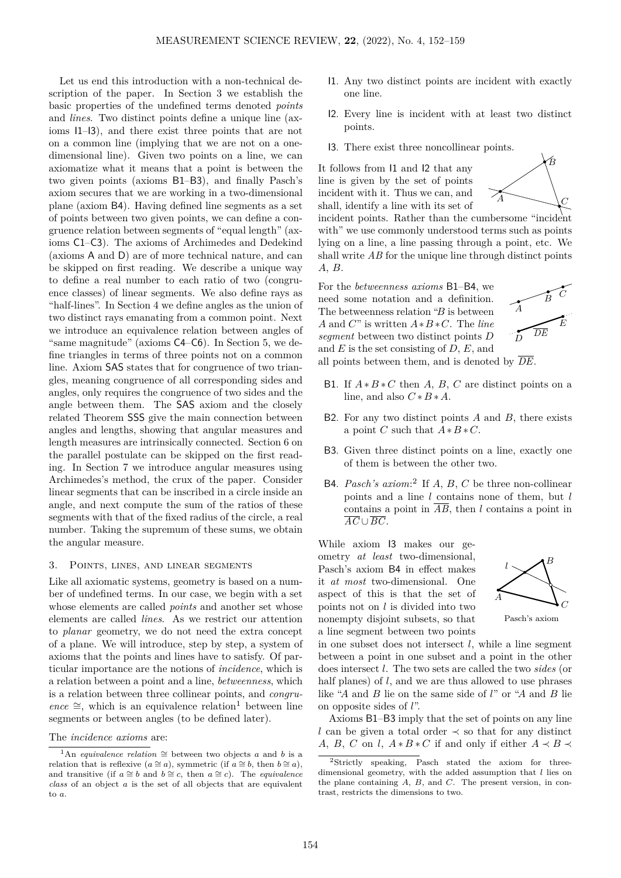Let us end this introduction with a non-technical description of the paper. In Section [3](#page-2-0) we establish the basic properties of the undefined terms denoted *points* and *lines*. Two distinct points define a unique line (axioms I1–I3), and there exist three points that are not on a common line (implying that we are not on a onedimensional line). Given two points on a line, we can axiomatize what it means that a point is between the two given points (axioms B1–B3), and finally Pasch's axiom secures that we are working in a two-dimensional plane (axiom B4). Having defined line segments as a set of points between two given points, we can define a congruence relation between segments of "equal length" (axioms C1–C3). The axioms of Archimedes and Dedekind (axioms A and D) are of more technical nature, and can be skipped on first reading. We describe a unique way to define a real number to each ratio of two (congruence classes) of linear segments. We also define rays as "half-lines". In Section [4](#page-3-0) we define angles as the union of two distinct rays emanating from a common point. Next we introduce an equivalence relation between angles of "same magnitude" (axioms C4–C6). In Section [5,](#page-4-0) we define triangles in terms of three points not on a common line. Axiom SAS states that for congruence of two triangles, meaning congruence of all corresponding sides and angles, only requires the congruence of two sides and the angle between them. The SAS axiom and the closely related Theorem SSS give the main connection between angles and lengths, showing that angular measures and length measures are intrinsically connected. Section [6](#page-4-1) on the parallel postulate can be skipped on the first reading. In Section [7](#page-4-2) we introduce angular measures using Archimedes's method, the crux of the paper. Consider linear segments that can be inscribed in a circle inside an angle, and next compute the sum of the ratios of these segments with that of the fixed radius of the circle, a real number. Taking the supremum of these sums, we obtain the angular measure.

## <span id="page-2-0"></span>3. Points, lines, and linear segments

Like all axiomatic systems, geometry is based on a number of undefined terms. In our case, we begin with a set whose elements are called *points* and another set whose elements are called *lines*. As we restrict our attention to *planar* geometry, we do not need the extra concept of a plane. We will introduce, step by step, a system of axioms that the points and lines have to satisfy. Of particular importance are the notions of *incidence*, which is a relation between a point and a line, *betweenness*, which is a relation between three collinear points, and *congru* $ence \cong$ , which is an equivalence relation<sup>[1](#page-2-1)</sup> between line segments or between angles (to be defined later).

- I1. Any two distinct points are incident with exactly one line.
- I2. Every line is incident with at least two distinct points.
- I3. There exist three noncollinear points.

It follows from I1 and I2 that any line is given by the set of points incident with it. Thus we can, and shall, identify a line with its set of



incident points. Rather than the cumbersome "incident with" we use commonly understood terms such as points lying on a line, a line passing through a point, etc. We shall write *AB* for the unique line through distinct points *A*, *B*.

For the *betweenness axioms* B1–B4, we need some notation and a definition. The betweenness relation "*B* is between *A* and *C*" is written *A*∗*B* ∗*C*. The *line segment* between two distinct points *D* and *E* is the set consisting of *D*, *E*, and



all points between them, and is denoted by *DE*.

- B1. If  $A * B * C$  then *A*, *B*, *C* are distinct points on a line, and also  $C * B * A$ .
- B2. For any two distinct points *A* and *B*, there exists a point *C* such that  $A * B * C$ .
- B3. Given three distinct points on a line, exactly one of them is between the other two.
- B4. *Pasch's axiom*: [2](#page-2-2) If *A*, *B*, *C* be three non-collinear points and a line *l* contains none of them, but *l* contains a point in  $\overline{AB}$ , then *l* contains a point in  $\overline{AC}$  ∪  $\overline{BC}$ .

While axiom I3 makes our geometry *at least* two-dimensional, Pasch's axiom B4 in effect makes it *at most* two-dimensional. One aspect of this is that the set of points not on *l* is divided into two nonempty disjoint subsets, so that a line segment between two points



Pasch's axiom

in one subset does not intersect  $l$ , while a line segment between a point in one subset and a point in the other does intersect *l*. The two sets are called the two *sides* (or half planes) of *l*, and we are thus allowed to use phrases like "*A* and *B* lie on the same side of *l*" or "*A* and *B* lie on opposite sides of *l*".

Axioms B1–B3 imply that the set of points on any line *l* can be given a total order  $\prec$  so that for any distinct *A*, *B*, *C* on *l*,  $A * B * C$  if and only if either  $A \prec B \prec$ 

The *incidence axioms* are:

<span id="page-2-1"></span><sup>&</sup>lt;sup>1</sup>An *equivalence relation*  $\cong$  between two objects *a* and *b* is a relation that is reflexive  $(a \cong a)$ , symmetric (if  $a \cong b$ , then  $b \cong a$ ), and transitive (if  $a \cong b$  and  $b \cong c$ , then  $a \cong c$ ). The *equivalence class* of an object *a* is the set of all objects that are equivalent to *a*.

<span id="page-2-2"></span><sup>2</sup>Strictly speaking, Pasch stated the axiom for threedimensional geometry, with the added assumption that *l* lies on the plane containing *A*, *B*, and *C*. The present version, in contrast, restricts the dimensions to two.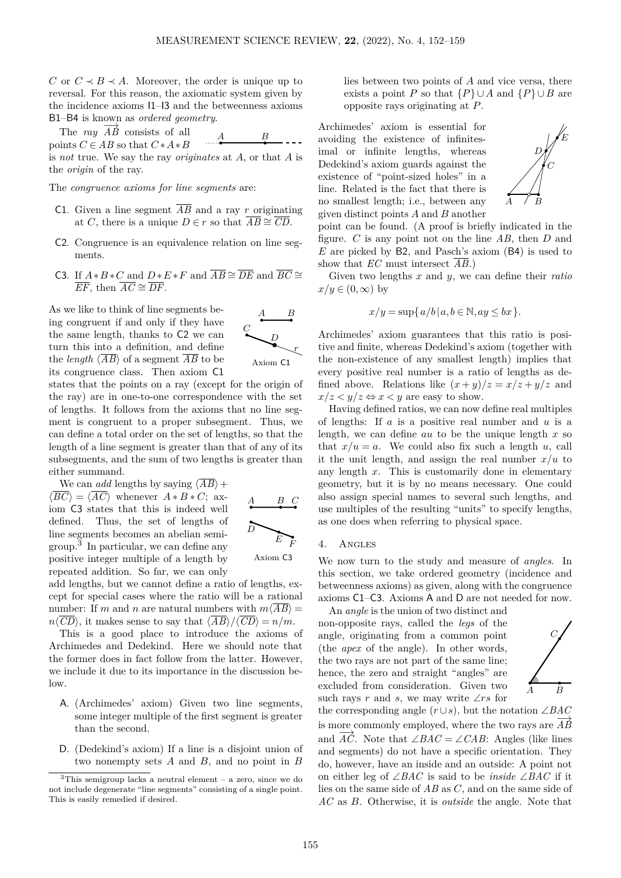*C* or  $C \prec B \prec A$ . Moreover, the order is unique up to reversal. For this reason, the axiomatic system given by the incidence axioms I1–I3 and the betweenness axioms B1–B4 is known as *ordered geometry*.

The *ray*  $\overrightarrow{AB}$  consists of all  $\overrightarrow{A}$   $\overrightarrow{B}$ points  $C \in AB$  so that  $C * A * B$ is *not* true. We say the ray *originates* at *A*, or that *A* is the *origin* of the ray.

The *congruence axioms for line segments* are:

- C1. Given a line segment  $\overline{AB}$  and a ray *r* originating at *C*, there is a unique  $D \in r$  so that  $\overline{AB} \cong \overline{CD}$ .
- C2. Congruence is an equivalence relation on line segments.
- C3. If  $A*B*C$  and  $D*E*F$  and  $\overline{AB} \cong \overline{DE}$  and  $\overline{BC} \cong$  $\overline{EF}$ , then  $\overline{AC} \cong \overline{DF}$ .

As we like to think of line segments being congruent if and only if they have the same length, thanks to C2 we can turn this into a definition, and define the *length*  $\langle \overline{AB} \rangle$  of a segment  $\overline{AB}$  to be its congruence class. Then axiom C1



states that the points on a ray (except for the origin of the ray) are in one-to-one correspondence with the set of lengths. It follows from the axioms that no line segment is congruent to a proper subsegment. Thus, we can define a total order on the set of lengths, so that the length of a line segment is greater than that of any of its subsegments, and the sum of two lengths is greater than either summand.

We can *add* lengths by saying  $\langle \overline{AB} \rangle +$  $\langle \overline{BC} \rangle = \langle \overline{AC} \rangle$  whenever  $A * B * C$ ; axiom C3 states that this is indeed well defined. Thus, the set of lengths of line segments becomes an abelian semigroup.[3](#page-3-1) In particular, we can define any positive integer multiple of a length by repeated addition. So far, we can only



add lengths, but we cannot define a ratio of lengths, except for special cases where the ratio will be a rational number: If *m* and *n* are natural numbers with  $m\langle \overline{AB} \rangle =$  $n\langle \overline{CD} \rangle$ , it makes sense to say that  $\langle \overline{AB} \rangle / \langle \overline{CD} \rangle = n/m$ .

This is a good place to introduce the axioms of Archimedes and Dedekind. Here we should note that the former does in fact follow from the latter. However, we include it due to its importance in the discussion below.

- A. (Archimedes' axiom) Given two line segments, some integer multiple of the first segment is greater than the second.
- D. (Dedekind's axiom) If a line is a disjoint union of two nonempty sets *A* and *B*, and no point in *B*

lies between two points of *A* and vice versa, there exists a point *P* so that  ${P} \cup A$  and  ${P} \cup B$  are opposite rays originating at *P*.

Archimedes' axiom is essential for avoiding the existence of infinitesimal or infinite lengths, whereas Dedekind's axiom guards against the existence of "point-sized holes" in a line. Related is the fact that there is no smallest length; i.e., between any given distinct points *A* and *B* another



point can be found. (A proof is briefly indicated in the figure. *C* is any point not on the line *AB*, then *D* and *E* are picked by B2, and Pasch's axiom (B4) is used to show that *EC* must intersect  $\overline{AB}$ .)

Given two lengths *x* and *y*, we can define their *ratio*  $x/y \in (0,\infty)$  by

$$
x/y = \sup\{a/b \mid a, b \in \mathbb{N}, ay \le bx\}.
$$

Archimedes' axiom guarantees that this ratio is positive and finite, whereas Dedekind's axiom (together with the non-existence of any smallest length) implies that every positive real number is a ratio of lengths as defined above. Relations like  $(x+y)/z = x/z + y/z$  and  $x/z < y/z \Leftrightarrow x < y$  are easy to show.

Having defined ratios, we can now define real multiples of lengths: If *a* is a positive real number and *u* is a length, we can define *au* to be the unique length *x* so that  $x/u = a$ . We could also fix such a length *u*, call it the unit length, and assign the real number  $x/u$  to any length *x*. This is customarily done in elementary geometry, but it is by no means necessary. One could also assign special names to several such lengths, and use multiples of the resulting "units" to specify lengths, as one does when referring to physical space.

#### <span id="page-3-0"></span>4. Angles

We now turn to the study and measure of *angles*. In this section, we take ordered geometry (incidence and betweenness axioms) as given, along with the congruence axioms C1–C3. Axioms A and D are not needed for now.

An *angle* is the union of two distinct and non-opposite rays, called the *legs* of the angle, originating from a common point (the *apex* of the angle). In other words, the two rays are not part of the same line; hence, the zero and straight "angles" are excluded from consideration. Given two such rays *r* and *s*, we may write ∠*rs* for



the corresponding angle (*r*∪*s*), but the notation ∠*BAC* is more commonly employed, where the two rays are  $\overrightarrow{AB}$ and  $\overrightarrow{AC}$ . Note that ∠*BAC* = ∠*CAB*: Angles (like lines and segments) do not have a specific orientation. They do, however, have an inside and an outside: A point not on either leg of ∠*BAC* is said to be *inside* ∠*BAC* if it lies on the same side of *AB* as *C*, and on the same side of *AC* as *B*. Otherwise, it is *outside* the angle. Note that

<span id="page-3-1"></span> $3$ This semigroup lacks a neutral element – a zero, since we do not include degenerate "line segments" consisting of a single point. This is easily remedied if desired.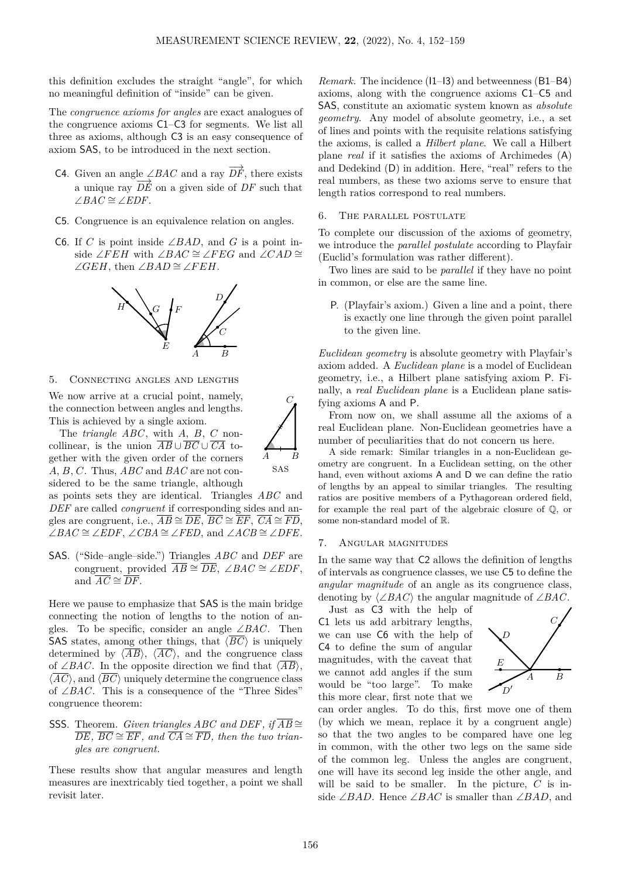this definition excludes the straight "angle", for which no meaningful definition of "inside" can be given.

The *congruence axioms for angles* are exact analogues of the congruence axioms C1–C3 for segments. We list all three as axioms, although C3 is an easy consequence of axiom SAS, to be introduced in the next section.

- C4. Given an angle ∠*BAC* and a ray  $\overrightarrow{DF}$ , there exists a unique ray  $\overrightarrow{DE}$  on a given side of  $\overrightarrow{DF}$  such that ∠ $BAC \cong \angle EDF$ .
- C5. Congruence is an equivalence relation on angles.
- C6. If *C* is point inside ∠*BAD*, and *G* is a point inside ∠*FEH* with ∠*BAC*  $\cong$  ∠*FEG* and ∠*CAD*  $\cong$ ∠*GEH*, then ∠*BAD*  $\cong$  ∠*FEH*.



## <span id="page-4-0"></span>5. Connecting angles and lengths

We now arrive at a crucial point, namely, the connection between angles and lengths. This is achieved by a single axiom.



*C*

SAS

gether with the given order of the corners *A*, *B*, *C*. Thus, *ABC* and *BAC* are not considered to be the same triangle, although as points sets they are identical. Triangles *ABC* and

*DEF* are called *congruent* if corresponding sides and angles are congruent, i.e.,  $\overline{AB} \cong \overline{DE}$ ,  $\overline{BC} \cong \overline{EF}$ ,  $\overline{CA} \cong \overline{FD}$ , ∠*BAC*  $\cong$  ∠*EDF*, ∠*CBA*  $\cong$  ∠*FED*, and ∠*ACB*  $\cong$  ∠*DFE*.

SAS. ("Side–angle–side.") Triangles *ABC* and *DEF* are congruent, provided  $\overline{AB} \cong \overline{DE}$ , ∠*BAC*  $\cong$  ∠*EDF*, and  $\overline{AC} \cong \overline{DF}$ .

Here we pause to emphasize that SAS is the main bridge connecting the notion of lengths to the notion of angles. To be specific, consider an angle ∠*BAC*. Then SAS states, among other things, that  $\langle \overline{BC} \rangle$  is uniquely determined by  $\langle \overline{AB} \rangle$ ,  $\langle \overline{AC} \rangle$ , and the congruence class of ∠*BAC*. In the opposite direction we find that  $\langle \overline{AB} \rangle$ ,  $\langle \overline{AC} \rangle$ , and  $\langle \overline{BC} \rangle$  uniquely determine the congruence class of ∠*BAC*. This is a consequence of the "Three Sides" congruence theorem:

SSS. Theorem. *Given triangles ABC* and *DEF*, if  $\overline{AB}$  ≅  $\overline{DE}$ ,  $\overline{BC} \cong \overline{EF}$ , and  $\overline{CA} \cong \overline{FD}$ , then the two trian*gles are congruent.*

These results show that angular measures and length measures are inextricably tied together, a point we shall revisit later.

*Remark.* The incidence (I1–I3) and betweenness (B1–B4) axioms, along with the congruence axioms C1–C5 and SAS, constitute an axiomatic system known as *absolute geometry*. Any model of absolute geometry, i.e., a set of lines and points with the requisite relations satisfying the axioms, is called a *Hilbert plane*. We call a Hilbert plane *real* if it satisfies the axioms of Archimedes (A) and Dedekind (D) in addition. Here, "real" refers to the real numbers, as these two axioms serve to ensure that length ratios correspond to real numbers.

#### <span id="page-4-1"></span>6. The parallel postulate

To complete our discussion of the axioms of geometry, we introduce the *parallel postulate* according to Playfair (Euclid's formulation was rather different).

Two lines are said to be *parallel* if they have no point in common, or else are the same line.

P. (Playfair's axiom.) Given a line and a point, there is exactly one line through the given point parallel to the given line.

*Euclidean geometry* is absolute geometry with Playfair's axiom added. A *Euclidean plane* is a model of Euclidean geometry, i.e., a Hilbert plane satisfying axiom P. Finally, a *real Euclidean plane* is a Euclidean plane satisfying axioms A and P.

From now on, we shall assume all the axioms of a real Euclidean plane. Non-Euclidean geometries have a number of peculiarities that do not concern us here.

A side remark: Similar triangles in a non-Euclidean geometry are congruent. In a Euclidean setting, on the other hand, even without axioms A and D we can define the ratio of lengths by an appeal to similar triangles. The resulting ratios are positive members of a Pythagorean ordered field, for example the real part of the algebraic closure of Q, or some non-standard model of R.

#### <span id="page-4-2"></span>7. Angular magnitudes

In the same way that C2 allows the definition of lengths of intervals as congruence classes, we use C5 to define the *angular magnitude* of an angle as its congruence class, denoting by ⟨∠*BAC*⟩ the angular magnitude of ∠*BAC*.

Just as C3 with the help of C1 lets us add arbitrary lengths, we can use C6 with the help of C4 to define the sum of angular magnitudes, with the caveat that we cannot add angles if the sum would be "too large". To make this more clear, first note that we



can order angles. To do this, first move one of them (by which we mean, replace it by a congruent angle) so that the two angles to be compared have one leg in common, with the other two legs on the same side of the common leg. Unless the angles are congruent, one will have its second leg inside the other angle, and will be said to be smaller. In the picture, *C* is inside ∠*BAD*. Hence ∠*BAC* is smaller than ∠*BAD*, and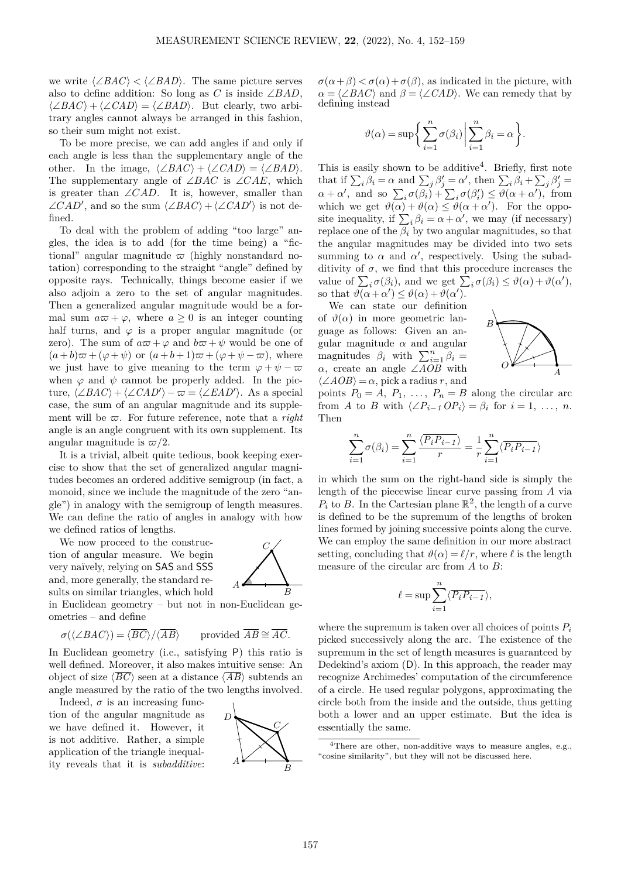we write  $\langle \angle BAC \rangle < \langle \angle BAD \rangle$ . The same picture serves also to define addition: So long as *C* is inside  $\angle BAD$ ,  $\langle \angle BAC \rangle + \langle \angle CAD \rangle = \langle \angle BAD \rangle$ . But clearly, two arbitrary angles cannot always be arranged in this fashion, so their sum might not exist.

To be more precise, we can add angles if and only if each angle is less than the supplementary angle of the other. In the image,  $\langle \angle BAC \rangle + \langle \angle CAD \rangle = \langle \angle BAD \rangle$ . The supplementary angle of ∠*BAC* is ∠*CAE*, which is greater than ∠*CAD*. It is, however, smaller than  $\angle CAD'$ , and so the sum  $\langle \angle BAC \rangle + \langle \angle CAD' \rangle$  is not defined.

To deal with the problem of adding "too large" angles, the idea is to add (for the time being) a "fictional" angular magnitude  $\varpi$  (highly nonstandard notation) corresponding to the straight "angle" defined by opposite rays. Technically, things become easier if we also adjoin a zero to the set of angular magnitudes. Then a generalized angular magnitude would be a formal sum  $a\varpi + \varphi$ , where  $a \geq 0$  is an integer counting half turns, and  $\varphi$  is a proper angular magnitude (or zero). The sum of  $a\varpi + \varphi$  and  $b\varpi + \psi$  would be one of  $(a+b)\varpi+(\varphi+\psi)$  or  $(a+b+1)\varpi+(\varphi+\psi-\varpi)$ , where we just have to give meaning to the term  $\varphi + \psi - \varpi$ when  $\varphi$  and  $\psi$  cannot be properly added. In the picture,  $\langle \angle BAC \rangle + \langle \angle CAD' \rangle - \varpi = \langle \angle EAD' \rangle$ . As a special case, the sum of an angular magnitude and its supplement will be *ϖ*. For future reference, note that a *right* angle is an angle congruent with its own supplement. Its angular magnitude is  $\varpi/2$ .

It is a trivial, albeit quite tedious, book keeping exercise to show that the set of generalized angular magnitudes becomes an ordered additive semigroup (in fact, a monoid, since we include the magnitude of the zero "angle") in analogy with the semigroup of length measures. We can define the ratio of angles in analogy with how we defined ratios of lengths.

We now proceed to the construction of angular measure. We begin very naïvely, relying on SAS and SSS and, more generally, the standard results on similar triangles, which hold



in Euclidean geometry – but not in non-Euclidean geometries – and define

$$
\sigma(\langle \angle BAC \rangle) = \langle \overline{BC} \rangle / \langle \overline{AB} \rangle \quad \text{provided } \overline{AB} \cong \overline{AC}.
$$

In Euclidean geometry (i.e., satisfying P) this ratio is well defined. Moreover, it also makes intuitive sense: An object of size  $\langle \overline{BC} \rangle$  seen at a distance  $\langle \overline{AB} \rangle$  subtends an angle measured by the ratio of the two lengths involved.

Indeed,  $\sigma$  is an increasing function of the angular magnitude as we have defined it. However, it is not additive. Rather, a simple application of the triangle inequality reveals that it is *subadditive*:



 $\sigma(\alpha+\beta) < \sigma(\alpha) + \sigma(\beta)$ , as indicated in the picture, with  $\alpha = \langle \angle BAC \rangle$  and  $\beta = \langle \angle CAD \rangle$ . We can remedy that by defining instead

$$
\vartheta(\alpha) = \sup \bigg\{ \sum_{i=1}^{n} \sigma(\beta_i) \bigg| \sum_{i=1}^{n} \beta_i = \alpha \bigg\}.
$$

This is easily shown to be additive<sup>[4](#page-5-0)</sup>. Briefly, first note that if  $\sum_i \beta_i = \alpha$  and  $\sum_j \beta'_j = \alpha'$ , then  $\sum_i \beta_i + \sum_j \beta'_j =$  $\alpha + \alpha'$ , and so  $\sum_i \sigma(\beta_i) + \sum_i \sigma(\beta'_i) \leq \vartheta(\alpha + \alpha')$ , from which we get  $\vartheta(\alpha) + \vartheta(\alpha) \leq \vartheta(\alpha + \alpha')$ . For the opposite inequality, if  $\sum_i \beta_i = \alpha + \alpha'$ , we may (if necessary) replace one of the  $\beta_i$  by two angular magnitudes, so that the angular magnitudes may be divided into two sets summing to  $\alpha$  and  $\alpha'$ , respectively. Using the subadditivity of  $\sigma$ , we find that this procedure increases the value of  $\sum_i \sigma(\beta_i)$ , and we get  $\sum_i \sigma(\beta_i) \leq \vartheta(\alpha) + \vartheta(\alpha')$ , so that  $\theta(\alpha + \alpha') \leq \theta(\alpha) + \theta(\alpha').$ 

We can state our definition of  $\vartheta(\alpha)$  in more geometric language as follows: Given an angular magnitude  $\alpha$  and angular magnitudes  $\beta_i$  with  $\sum_{i=1}^n \beta_i =$ *α*, create an angle ∠*AOB* with  $\langle \angle AOB \rangle = \alpha$ , pick a radius *r*, and



points  $P_0 = A$ ,  $P_1$ , ...,  $P_n = B$  along the circular arc from *A* to *B* with  $\langle \angle P_{i-1} \cap P_i \rangle = \beta_i$  for  $i = 1, \ldots, n$ . Then

$$
\sum_{i=1}^{n} \sigma(\beta_i) = \sum_{i=1}^{n} \frac{\langle \overline{P_i P_{i-1}} \rangle}{r} = \frac{1}{r} \sum_{i=1}^{n} \langle \overline{P_i P_{i-1}} \rangle
$$

in which the sum on the right-hand side is simply the length of the piecewise linear curve passing from *A* via  $P_i$  to *B*. In the Cartesian plane  $\mathbb{R}^2$ , the length of a curve is defined to be the supremum of the lengths of broken lines formed by joining successive points along the curve. We can employ the same definition in our more abstract setting, concluding that  $\vartheta(\alpha) = \ell/r$ , where  $\ell$  is the length measure of the circular arc from *A* to *B*:

$$
\ell = \sup \sum_{i=1}^{n} \langle \overline{P_i P_{i-1}} \rangle,
$$

where the supremum is taken over all choices of points *P<sup>i</sup>* picked successively along the arc. The existence of the supremum in the set of length measures is guaranteed by Dedekind's axiom (D). In this approach, the reader may recognize Archimedes' computation of the circumference of a circle. He used regular polygons, approximating the circle both from the inside and the outside, thus getting both a lower and an upper estimate. But the idea is essentially the same.

<span id="page-5-0"></span><sup>4</sup>There are other, non-additive ways to measure angles, e.g., "cosine similarity", but they will not be discussed here.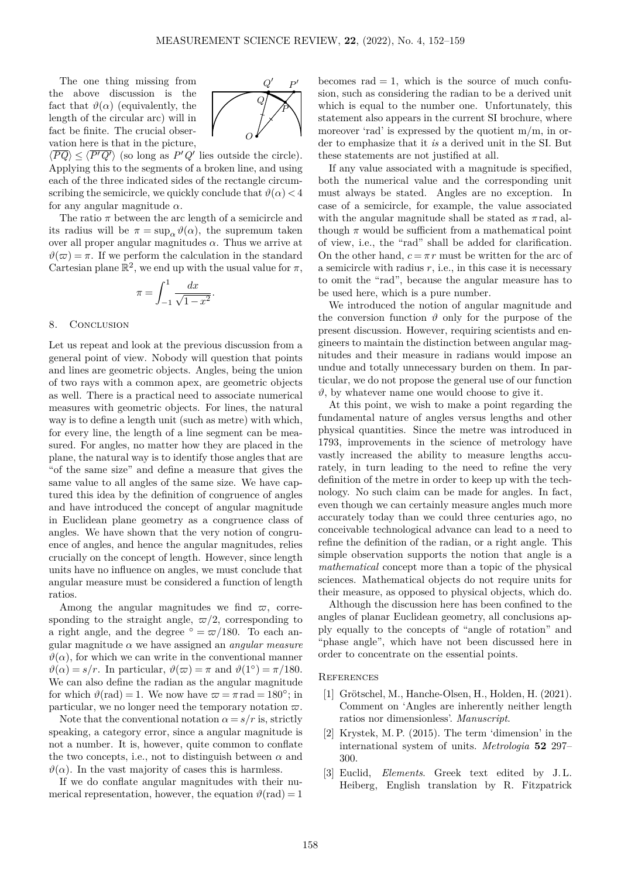The one thing missing from the above discussion is the fact that  $\vartheta(\alpha)$  (equivalently, the length of the circular arc) will in fact be finite. The crucial observation here is that in the picture,

*O P Q*

 $\langle \overline{PQ} \rangle \leq \langle \overline{P'Q'} \rangle$  (so long as  $P'Q'$  lies outside the circle). Applying this to the segments of a broken line, and using each of the three indicated sides of the rectangle circumscribing the semicircle, we quickly conclude that  $\vartheta(\alpha) < 4$ for any angular magnitude *α*.

The ratio  $\pi$  between the arc length of a semicircle and its radius will be  $\pi = \sup_{\alpha} \vartheta(\alpha)$ , the supremum taken over all proper angular magnitudes  $\alpha$ . Thus we arrive at  $\vartheta(\varpi) = \pi$ . If we perform the calculation in the standard Cartesian plane  $\mathbb{R}^2$ , we end up with the usual value for  $\pi$ ,

$$
\pi = \int_{-1}^{1} \frac{dx}{\sqrt{1 - x^2}}.
$$

#### 8. CONCLUSION

Let us repeat and look at the previous discussion from a general point of view. Nobody will question that points and lines are geometric objects. Angles, being the union of two rays with a common apex, are geometric objects as well. There is a practical need to associate numerical measures with geometric objects. For lines, the natural way is to define a length unit (such as metre) with which, for every line, the length of a line segment can be measured. For angles, no matter how they are placed in the plane, the natural way is to identify those angles that are "of the same size" and define a measure that gives the same value to all angles of the same size. We have captured this idea by the definition of congruence of angles and have introduced the concept of angular magnitude in Euclidean plane geometry as a congruence class of angles. We have shown that the very notion of congruence of angles, and hence the angular magnitudes, relies crucially on the concept of length. However, since length units have no influence on angles, we must conclude that angular measure must be considered a function of length ratios.

Among the angular magnitudes we find  $\varpi$ , corresponding to the straight angle,  $\varpi/2$ , corresponding to a right angle, and the degree  $\degree = \frac{\pi}{180}$ . To each angular magnitude *α* we have assigned an *angular measure*  $\vartheta(\alpha)$ , for which we can write in the conventional manner  $\vartheta(\alpha) = s/r$ . In particular,  $\vartheta(\varpi) = \pi$  and  $\vartheta(1^{\circ}) = \pi/180$ . We can also define the radian as the angular magnitude for which  $\vartheta(\text{rad}) = 1$ . We now have  $\varpi = \pi \text{ rad} = 180^\circ$ ; in particular, we no longer need the temporary notation  $\varpi$ .

Note that the conventional notation  $\alpha = s/r$  is, strictly speaking, a category error, since a angular magnitude is not a number. It is, however, quite common to conflate the two concepts, i.e., not to distinguish between  $\alpha$  and  $\vartheta(\alpha)$ . In the vast majority of cases this is harmless.

If we do conflate angular magnitudes with their numerical representation, however, the equation  $\vartheta(\text{rad}) = 1$  becomes  $rad = 1$ , which is the source of much confusion, such as considering the radian to be a derived unit which is equal to the number one. Unfortunately, this statement also appears in the current SI brochure, where moreover 'rad' is expressed by the quotient m*/*m, in order to emphasize that it *is* a derived unit in the SI. But these statements are not justified at all.

If any value associated with a magnitude is specified, both the numerical value and the corresponding unit must always be stated. Angles are no exception. In case of a semicircle, for example, the value associated with the angular magnitude shall be stated as  $\pi$  rad, although  $\pi$  would be sufficient from a mathematical point of view, i.e., the "rad" shall be added for clarification. On the other hand,  $c = \pi r$  must be written for the arc of a semicircle with radius  $r$ , i.e., in this case it is necessary to omit the "rad", because the angular measure has to be used here, which is a pure number.

We introduced the notion of angular magnitude and the conversion function  $\vartheta$  only for the purpose of the present discussion. However, requiring scientists and engineers to maintain the distinction between angular magnitudes and their measure in radians would impose an undue and totally unnecessary burden on them. In particular, we do not propose the general use of our function  $\vartheta$ , by whatever name one would choose to give it.

At this point, we wish to make a point regarding the fundamental nature of angles versus lengths and other physical quantities. Since the metre was introduced in 1793, improvements in the science of metrology have vastly increased the ability to measure lengths accurately, in turn leading to the need to refine the very definition of the metre in order to keep up with the technology. No such claim can be made for angles. In fact, even though we can certainly measure angles much more accurately today than we could three centuries ago, no conceivable technological advance can lead to a need to refine the definition of the radian, or a right angle. This simple observation supports the notion that angle is a *mathematical* concept more than a topic of the physical sciences. Mathematical objects do not require units for their measure, as opposed to physical objects, which do.

Although the discussion here has been confined to the angles of planar Euclidean geometry, all conclusions apply equally to the concepts of "angle of rotation" and "phase angle", which have not been discussed here in order to concentrate on the essential points.

#### **REFERENCES**

- <span id="page-6-0"></span>[1] Grötschel, M., Hanche-Olsen, H., Holden, H. (2021). Comment on 'Angles are inherently neither length ratios nor dimensionless'. *Manuscript*.
- <span id="page-6-1"></span>[2] Krystek, M. P. (2015). The term 'dimension' in the international system of units. *Metrologia* **52** [297–](http://dx.doi.org/10.1088/0026-1394/52/2/297) [300.](http://dx.doi.org/10.1088/0026-1394/52/2/297)
- <span id="page-6-2"></span>[3] Euclid, *Elements*. Greek text edited by J. L. Heiberg, English translation by R. Fitzpatrick